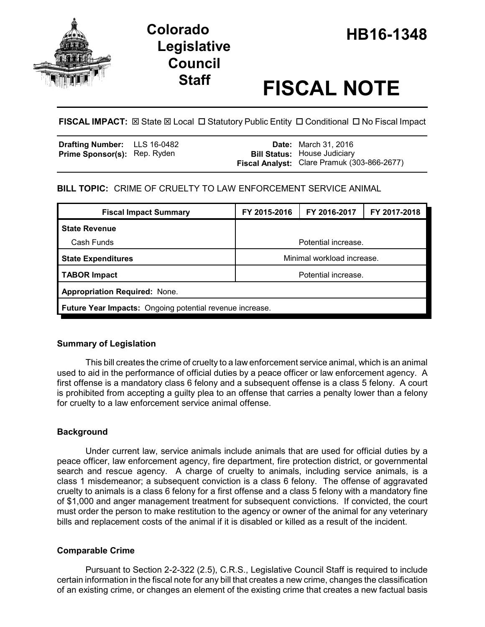

# **HB16-1348 Colorado Legislative Council**

# **Staff FISCAL NOTE**

**FISCAL IMPACT:** ⊠ State ⊠ Local □ Statutory Public Entity □ Conditional □ No Fiscal Impact

| Drafting Number: LLS 16-0482        |  | <b>Date:</b> March 31, 2016                 |
|-------------------------------------|--|---------------------------------------------|
| <b>Prime Sponsor(s):</b> Rep. Ryden |  | <b>Bill Status:</b> House Judiciary         |
|                                     |  | Fiscal Analyst: Clare Pramuk (303-866-2677) |

# **BILL TOPIC:** CRIME OF CRUELTY TO LAW ENFORCEMENT SERVICE ANIMAL

| <b>Fiscal Impact Summary</b>                             | FY 2015-2016               | FY 2016-2017 | FY 2017-2018 |  |  |
|----------------------------------------------------------|----------------------------|--------------|--------------|--|--|
| <b>State Revenue</b>                                     |                            |              |              |  |  |
| Cash Funds                                               | Potential increase.        |              |              |  |  |
| <b>State Expenditures</b>                                | Minimal workload increase. |              |              |  |  |
| <b>TABOR Impact</b>                                      | Potential increase.        |              |              |  |  |
| <b>Appropriation Required: None.</b>                     |                            |              |              |  |  |
| Future Year Impacts: Ongoing potential revenue increase. |                            |              |              |  |  |

# **Summary of Legislation**

This bill creates the crime of cruelty to a law enforcement service animal, which is an animal used to aid in the performance of official duties by a peace officer or law enforcement agency. A first offense is a mandatory class 6 felony and a subsequent offense is a class 5 felony. A court is prohibited from accepting a guilty plea to an offense that carries a penalty lower than a felony for cruelty to a law enforcement service animal offense.

# **Background**

Under current law, service animals include animals that are used for official duties by a peace officer, law enforcement agency, fire department, fire protection district, or governmental search and rescue agency. A charge of cruelty to animals, including service animals, is a class 1 misdemeanor; a subsequent conviction is a class 6 felony. The offense of aggravated cruelty to animals is a class 6 felony for a first offense and a class 5 felony with a mandatory fine of \$1,000 and anger management treatment for subsequent convictions. If convicted, the court must order the person to make restitution to the agency or owner of the animal for any veterinary bills and replacement costs of the animal if it is disabled or killed as a result of the incident.

# **Comparable Crime**

Pursuant to Section 2-2-322 (2.5), C.R.S., Legislative Council Staff is required to include certain information in the fiscal note for any bill that creates a new crime, changes the classification of an existing crime, or changes an element of the existing crime that creates a new factual basis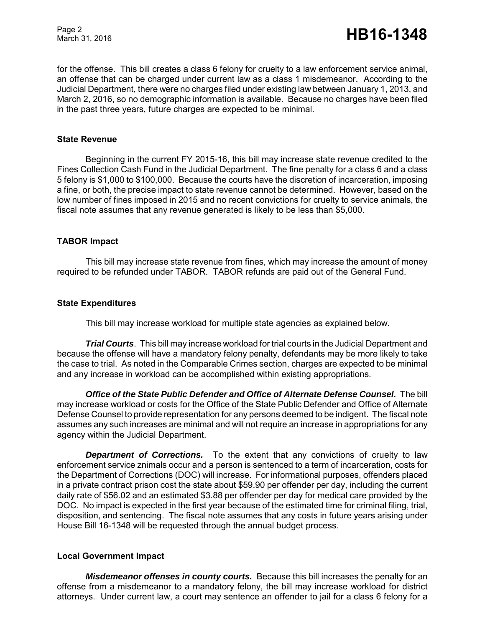Page 2

for the offense. This bill creates a class 6 felony for cruelty to a law enforcement service animal, an offense that can be charged under current law as a class 1 misdemeanor. According to the Judicial Department, there were no charges filed under existing law between January 1, 2013, and March 2, 2016, so no demographic information is available. Because no charges have been filed in the past three years, future charges are expected to be minimal.

#### **State Revenue**

Beginning in the current FY 2015-16, this bill may increase state revenue credited to the Fines Collection Cash Fund in the Judicial Department. The fine penalty for a class 6 and a class 5 felony is \$1,000 to \$100,000. Because the courts have the discretion of incarceration, imposing a fine, or both, the precise impact to state revenue cannot be determined. However, based on the low number of fines imposed in 2015 and no recent convictions for cruelty to service animals, the fiscal note assumes that any revenue generated is likely to be less than \$5,000.

#### **TABOR Impact**

This bill may increase state revenue from fines, which may increase the amount of money required to be refunded under TABOR. TABOR refunds are paid out of the General Fund.

#### **State Expenditures**

This bill may increase workload for multiple state agencies as explained below.

*Trial Courts*. This bill may increase workload for trial courts in the Judicial Department and because the offense will have a mandatory felony penalty, defendants may be more likely to take the case to trial. As noted in the Comparable Crimes section, charges are expected to be minimal and any increase in workload can be accomplished within existing appropriations.

*Office of the State Public Defender and Office of Alternate Defense Counsel.* **The bill** may increase workload or costs for the Office of the State Public Defender and Office of Alternate Defense Counsel to provide representation for any persons deemed to be indigent. The fiscal note assumes any such increases are minimal and will not require an increase in appropriations for any agency within the Judicial Department.

**Department of Corrections.** To the extent that any convictions of cruelty to law enforcement service znimals occur and a person is sentenced to a term of incarceration, costs for the Department of Corrections (DOC) will increase. For informational purposes, offenders placed in a private contract prison cost the state about \$59.90 per offender per day, including the current daily rate of \$56.02 and an estimated \$3.88 per offender per day for medical care provided by the DOC. No impact is expected in the first year because of the estimated time for criminal filing, trial, disposition, and sentencing. The fiscal note assumes that any costs in future years arising under House Bill 16-1348 will be requested through the annual budget process.

#### **Local Government Impact**

*Misdemeanor offenses in county courts.* Because this bill increases the penalty for an offense from a misdemeanor to a mandatory felony, the bill may increase workload for district attorneys. Under current law, a court may sentence an offender to jail for a class 6 felony for a